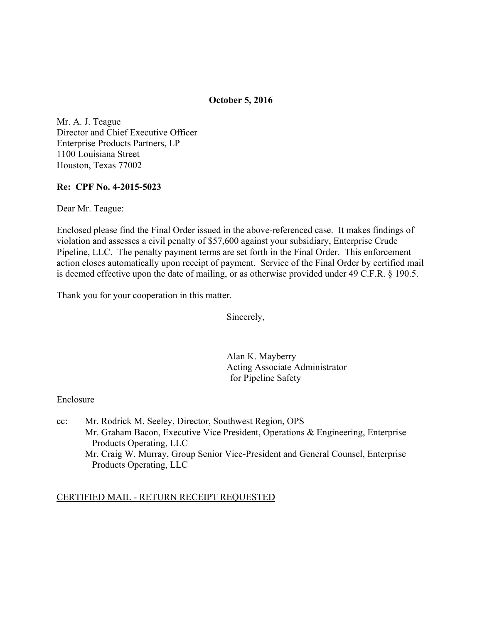### **October 5, 2016**

Mr. A. J. Teague Director and Chief Executive Officer Enterprise Products Partners, LP 1100 Louisiana Street Houston, Texas 77002

#### **Re: CPF No. 4-2015-5023**

Dear Mr. Teague:

Enclosed please find the Final Order issued in the above-referenced case. It makes findings of violation and assesses a civil penalty of \$57,600 against your subsidiary, Enterprise Crude Pipeline, LLC. The penalty payment terms are set forth in the Final Order. This enforcement action closes automatically upon receipt of payment. Service of the Final Order by certified mail is deemed effective upon the date of mailing, or as otherwise provided under 49 C.F.R. § 190.5.

Thank you for your cooperation in this matter.

Sincerely,

Alan K. Mayberry Acting Associate Administrator for Pipeline Safety

Enclosure

cc: Mr. Rodrick M. Seeley, Director, Southwest Region, OPS Mr. Graham Bacon, Executive Vice President, Operations & Engineering, Enterprise Products Operating, LLC Mr. Craig W. Murray, Group Senior Vice-President and General Counsel, Enterprise Products Operating, LLC

#### CERTIFIED MAIL - RETURN RECEIPT REQUESTED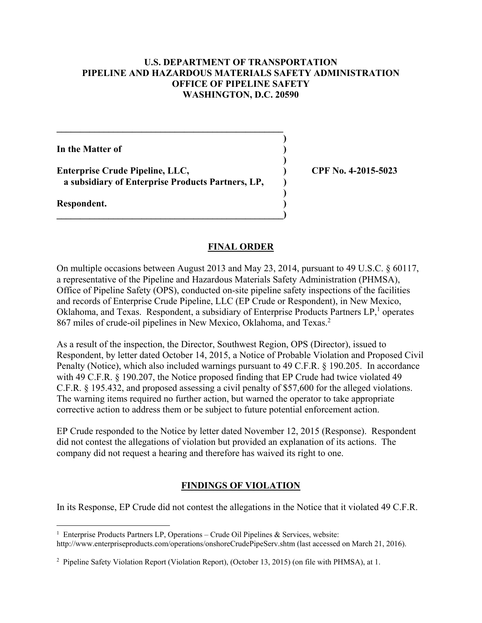### **U.S. DEPARTMENT OF TRANSPORTATION PIPELINE AND HAZARDOUS MATERIALS SAFETY ADMINISTRATION OFFICE OF PIPELINE SAFETY WASHINGTON, D.C. 20590**

**In the Matter of )** 

**Enterprise Crude Pipeline, LLC, ) CPF No. 4-2015-5023 a subsidiary of Enterprise Products Partners, LP, )** 

 $\mathcal{L} = \{ \mathcal{L} \}$  **)** 

 **)** 

 **)** 

**\_\_\_\_\_\_\_\_\_\_\_\_\_\_\_\_\_\_\_\_\_\_\_\_\_\_\_\_\_\_\_\_\_\_\_\_\_\_\_\_\_\_\_\_\_\_\_\_)** 

**Respondent. )** 

### **FINAL ORDER**

On multiple occasions between August 2013 and May 23, 2014, pursuant to 49 U.S.C. § 60117, a representative of the Pipeline and Hazardous Materials Safety Administration (PHMSA), Office of Pipeline Safety (OPS), conducted on-site pipeline safety inspections of the facilities and records of Enterprise Crude Pipeline, LLC (EP Crude or Respondent), in New Mexico, Oklahoma, and Texas. Respondent, a subsidiary of Enterprise Products Partners LP,<sup>1</sup> operates 867 miles of crude-oil pipelines in New Mexico, Oklahoma, and Texas.<sup>2</sup>

As a result of the inspection, the Director, Southwest Region, OPS (Director), issued to Respondent, by letter dated October 14, 2015, a Notice of Probable Violation and Proposed Civil Penalty (Notice), which also included warnings pursuant to 49 C.F.R. § 190.205. In accordance with 49 C.F.R. § 190.207, the Notice proposed finding that EP Crude had twice violated 49 C.F.R. § 195.432, and proposed assessing a civil penalty of \$57,600 for the alleged violations. The warning items required no further action, but warned the operator to take appropriate corrective action to address them or be subject to future potential enforcement action.

EP Crude responded to the Notice by letter dated November 12, 2015 (Response). Respondent did not contest the allegations of violation but provided an explanation of its actions. The company did not request a hearing and therefore has waived its right to one.

# **FINDINGS OF VIOLATION**

In its Response, EP Crude did not contest the allegations in the Notice that it violated 49 C.F.R.

http://www.enterpriseproducts.com/operations/onshoreCrudePipeServ.shtm (last accessed on March 21, 2016).

 $\overline{a}$ <sup>1</sup> Enterprise Products Partners LP, Operations – Crude Oil Pipelines & Services, website:

<sup>&</sup>lt;sup>2</sup> Pipeline Safety Violation Report (Violation Report), (October 13, 2015) (on file with PHMSA), at 1.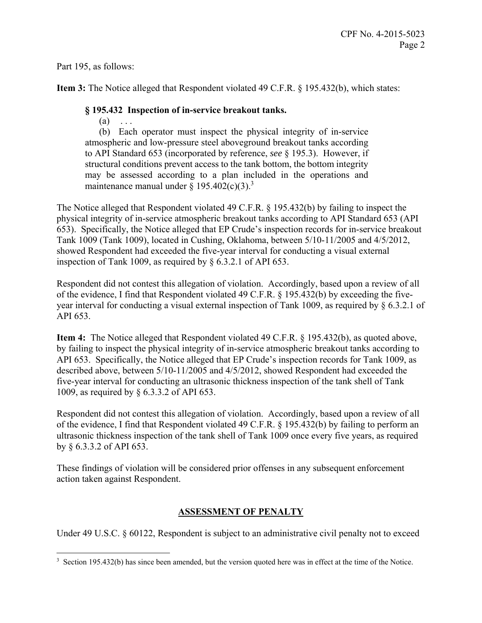Part 195, as follows:

 $\overline{a}$ 

**Item 3:** The Notice alleged that Respondent violated 49 C.F.R. § 195.432(b), which states:

## **§ 195.432 Inspection of in-service breakout tanks.**

 $(a) \quad \ldots$ 

(b) Each operator must inspect the physical integrity of in-service atmospheric and low-pressure steel aboveground breakout tanks according to API Standard 653 (incorporated by reference, *see* § 195.3). However, if structural conditions prevent access to the tank bottom, the bottom integrity may be assessed according to a plan included in the operations and maintenance manual under  $\S 195.402(c)(3)^3$ 

The Notice alleged that Respondent violated 49 C.F.R. § 195.432(b) by failing to inspect the physical integrity of in-service atmospheric breakout tanks according to API Standard 653 (API 653). Specifically, the Notice alleged that EP Crude's inspection records for in-service breakout Tank 1009 (Tank 1009), located in Cushing, Oklahoma, between 5/10-11/2005 and 4/5/2012, showed Respondent had exceeded the five-year interval for conducting a visual external inspection of Tank 1009, as required by § 6.3.2.1 of API 653.

Respondent did not contest this allegation of violation. Accordingly, based upon a review of all of the evidence, I find that Respondent violated 49 C.F.R. § 195.432(b) by exceeding the fiveyear interval for conducting a visual external inspection of Tank 1009, as required by § 6.3.2.1 of API 653.

**Item 4:** The Notice alleged that Respondent violated 49 C.F.R. § 195.432(b), as quoted above, by failing to inspect the physical integrity of in-service atmospheric breakout tanks according to API 653. Specifically, the Notice alleged that EP Crude's inspection records for Tank 1009, as described above, between 5/10-11/2005 and 4/5/2012, showed Respondent had exceeded the five-year interval for conducting an ultrasonic thickness inspection of the tank shell of Tank 1009, as required by § 6.3.3.2 of API 653.

Respondent did not contest this allegation of violation. Accordingly, based upon a review of all of the evidence, I find that Respondent violated 49 C.F.R. § 195.432(b) by failing to perform an ultrasonic thickness inspection of the tank shell of Tank 1009 once every five years, as required by § 6.3.3.2 of API 653.

These findings of violation will be considered prior offenses in any subsequent enforcement action taken against Respondent.

# **ASSESSMENT OF PENALTY**

Under 49 U.S.C. § 60122, Respondent is subject to an administrative civil penalty not to exceed

<sup>&</sup>lt;sup>3</sup> Section 195.432(b) has since been amended, but the version quoted here was in effect at the time of the Notice.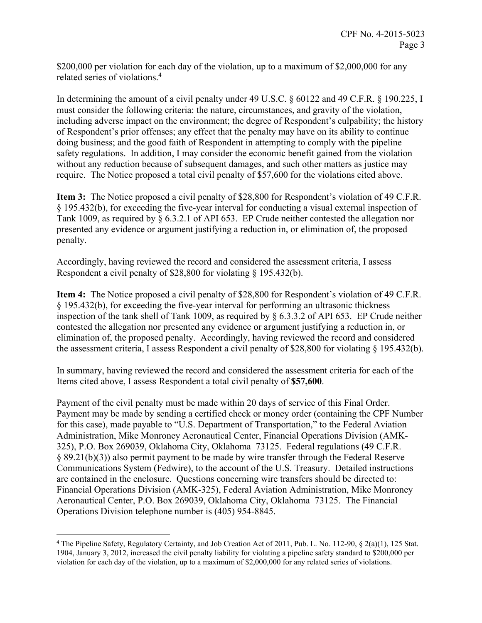\$200,000 per violation for each day of the violation, up to a maximum of \$2,000,000 for any related series of violations.<sup>4</sup>

In determining the amount of a civil penalty under 49 U.S.C. § 60122 and 49 C.F.R. § 190.225, I must consider the following criteria: the nature, circumstances, and gravity of the violation, including adverse impact on the environment; the degree of Respondent's culpability; the history of Respondent's prior offenses; any effect that the penalty may have on its ability to continue doing business; and the good faith of Respondent in attempting to comply with the pipeline safety regulations. In addition, I may consider the economic benefit gained from the violation without any reduction because of subsequent damages, and such other matters as justice may require. The Notice proposed a total civil penalty of \$57,600 for the violations cited above.

**Item 3:** The Notice proposed a civil penalty of \$28,800 for Respondent's violation of 49 C.F.R. § 195.432(b), for exceeding the five-year interval for conducting a visual external inspection of Tank 1009, as required by § 6.3.2.1 of API 653. EP Crude neither contested the allegation nor presented any evidence or argument justifying a reduction in, or elimination of, the proposed penalty.

Accordingly, having reviewed the record and considered the assessment criteria, I assess Respondent a civil penalty of \$28,800 for violating § 195.432(b).

**Item 4:** The Notice proposed a civil penalty of \$28,800 for Respondent's violation of 49 C.F.R. § 195.432(b), for exceeding the five-year interval for performing an ultrasonic thickness inspection of the tank shell of Tank 1009, as required by § 6.3.3.2 of API 653. EP Crude neither contested the allegation nor presented any evidence or argument justifying a reduction in, or elimination of, the proposed penalty. Accordingly, having reviewed the record and considered the assessment criteria, I assess Respondent a civil penalty of \$28,800 for violating § 195.432(b).

In summary, having reviewed the record and considered the assessment criteria for each of the Items cited above, I assess Respondent a total civil penalty of **\$57,600**.

Payment of the civil penalty must be made within 20 days of service of this Final Order. Payment may be made by sending a certified check or money order (containing the CPF Number for this case), made payable to "U.S. Department of Transportation," to the Federal Aviation Administration, Mike Monroney Aeronautical Center, Financial Operations Division (AMK-325), P.O. Box 269039, Oklahoma City, Oklahoma 73125. Federal regulations (49 C.F.R. § 89.21(b)(3)) also permit payment to be made by wire transfer through the Federal Reserve Communications System (Fedwire), to the account of the U.S. Treasury. Detailed instructions are contained in the enclosure. Questions concerning wire transfers should be directed to: Financial Operations Division (AMK-325), Federal Aviation Administration, Mike Monroney Aeronautical Center, P.O. Box 269039, Oklahoma City, Oklahoma 73125. The Financial Operations Division telephone number is (405) 954-8845.

 $\overline{a}$ 

<sup>4</sup> The Pipeline Safety, Regulatory Certainty, and Job Creation Act of 2011, Pub. L. No. 112-90, § 2(a)(1), 125 Stat. 1904, January 3, 2012, increased the civil penalty liability for violating a pipeline safety standard to \$200,000 per violation for each day of the violation, up to a maximum of \$2,000,000 for any related series of violations.